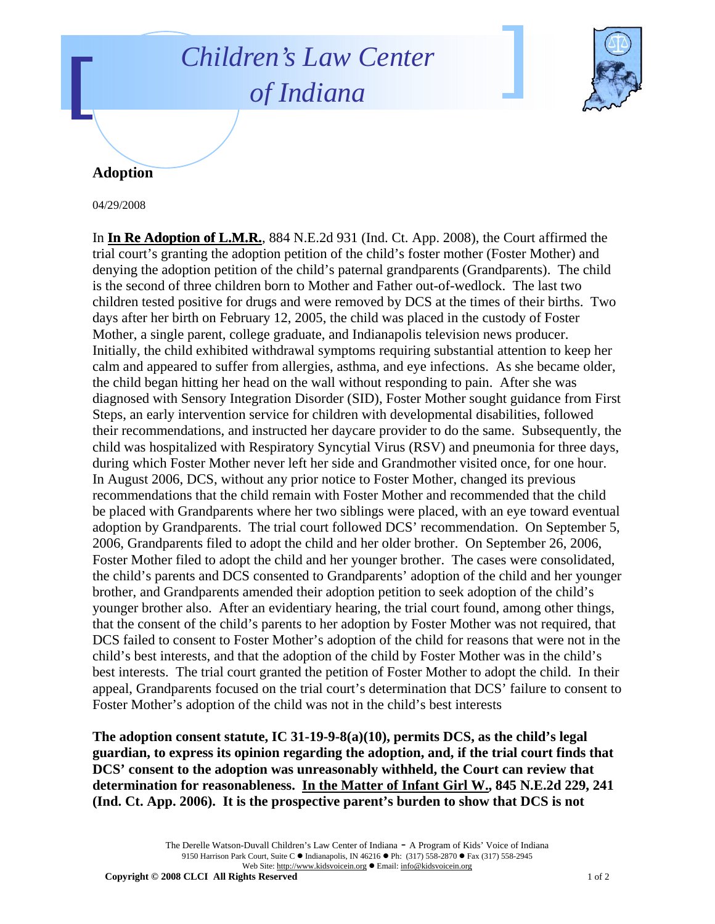## *Children's Law Center of Indiana*



## **Adoption**

04/29/2008

In **In Re Adoption of L.M.R.**, 884 N.E.2d 931 (Ind. Ct. App. 2008), the Court affirmed the trial court's granting the adoption petition of the child's foster mother (Foster Mother) and denying the adoption petition of the child's paternal grandparents (Grandparents). The child is the second of three children born to Mother and Father out-of-wedlock. The last two children tested positive for drugs and were removed by DCS at the times of their births. Two days after her birth on February 12, 2005, the child was placed in the custody of Foster Mother, a single parent, college graduate, and Indianapolis television news producer. Initially, the child exhibited withdrawal symptoms requiring substantial attention to keep her calm and appeared to suffer from allergies, asthma, and eye infections. As she became older, the child began hitting her head on the wall without responding to pain. After she was diagnosed with Sensory Integration Disorder (SID), Foster Mother sought guidance from First Steps, an early intervention service for children with developmental disabilities, followed their recommendations, and instructed her daycare provider to do the same. Subsequently, the child was hospitalized with Respiratory Syncytial Virus (RSV) and pneumonia for three days, during which Foster Mother never left her side and Grandmother visited once, for one hour. In August 2006, DCS, without any prior notice to Foster Mother, changed its previous recommendations that the child remain with Foster Mother and recommended that the child be placed with Grandparents where her two siblings were placed, with an eye toward eventual adoption by Grandparents. The trial court followed DCS' recommendation. On September 5, 2006, Grandparents filed to adopt the child and her older brother. On September 26, 2006, Foster Mother filed to adopt the child and her younger brother. The cases were consolidated, the child's parents and DCS consented to Grandparents' adoption of the child and her younger brother, and Grandparents amended their adoption petition to seek adoption of the child's younger brother also. After an evidentiary hearing, the trial court found, among other things, that the consent of the child's parents to her adoption by Foster Mother was not required, that DCS failed to consent to Foster Mother's adoption of the child for reasons that were not in the child's best interests, and that the adoption of the child by Foster Mother was in the child's best interests. The trial court granted the petition of Foster Mother to adopt the child. In their appeal, Grandparents focused on the trial court's determination that DCS' failure to consent to Foster Mother's adoption of the child was not in the child's best interests

**The adoption consent statute, IC 31-19-9-8(a)(10), permits DCS, as the child's legal guardian, to express its opinion regarding the adoption, and, if the trial court finds that DCS' consent to the adoption was unreasonably withheld, the Court can review that determination for reasonableness. In the Matter of Infant Girl W., 845 N.E.2d 229, 241 (Ind. Ct. App. 2006). It is the prospective parent's burden to show that DCS is not** 

> The Derelle Watson-Duvall Children's Law Center of Indiana - A Program of Kids' Voice of Indiana 9150 Harrison Park Court, Suite C · Indianapolis, IN 46216 • Ph: (317) 558-2870 • Fax (317) 558-2945 Web Site: http://www.kidsvoicein.org · Email: info@kidsvoicein.org